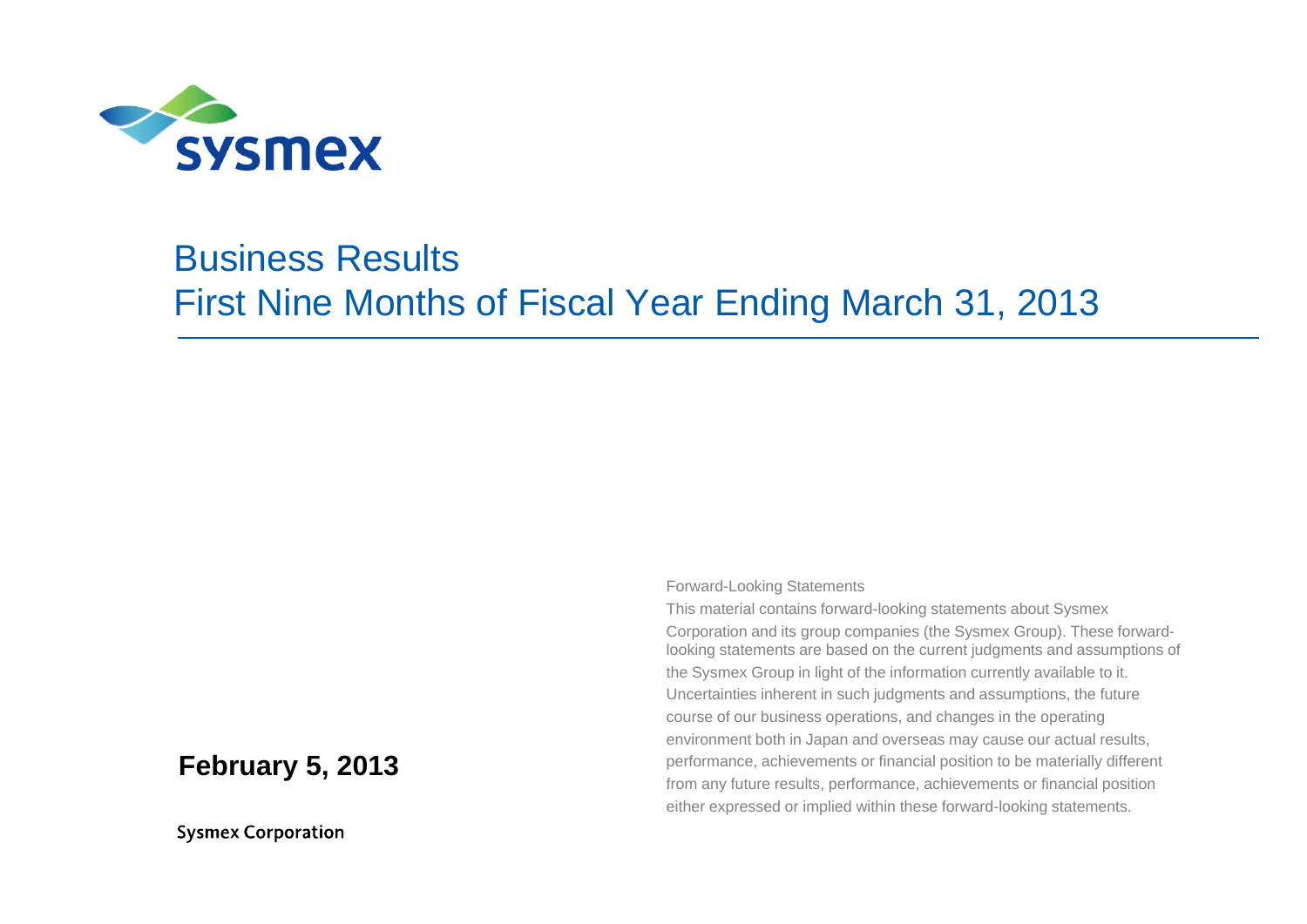

#### Business ResultsFirst Nine Months of Fiscal Year Ending March 31, 2013

#### **February 5, 2013**

**Sysmex Corporation** 

Forward-Looking Statements

This material contains forward-looking statements about Sysmex Corporation and its group companies (the Sysmex Group). These forwardlooking statements are based on the current judgments and assumptions of the Sysmex Group in light of the information currently available to it. Uncertainties inherent in such judgments and assumptions, the future course of our business operations, and changes in the operating environment both in Japan and overseas may cause our actual results, performance, achievements or financial position to be materially different from any future results, performance, achievements or financial position either expressed or implied within these forward-looking statements.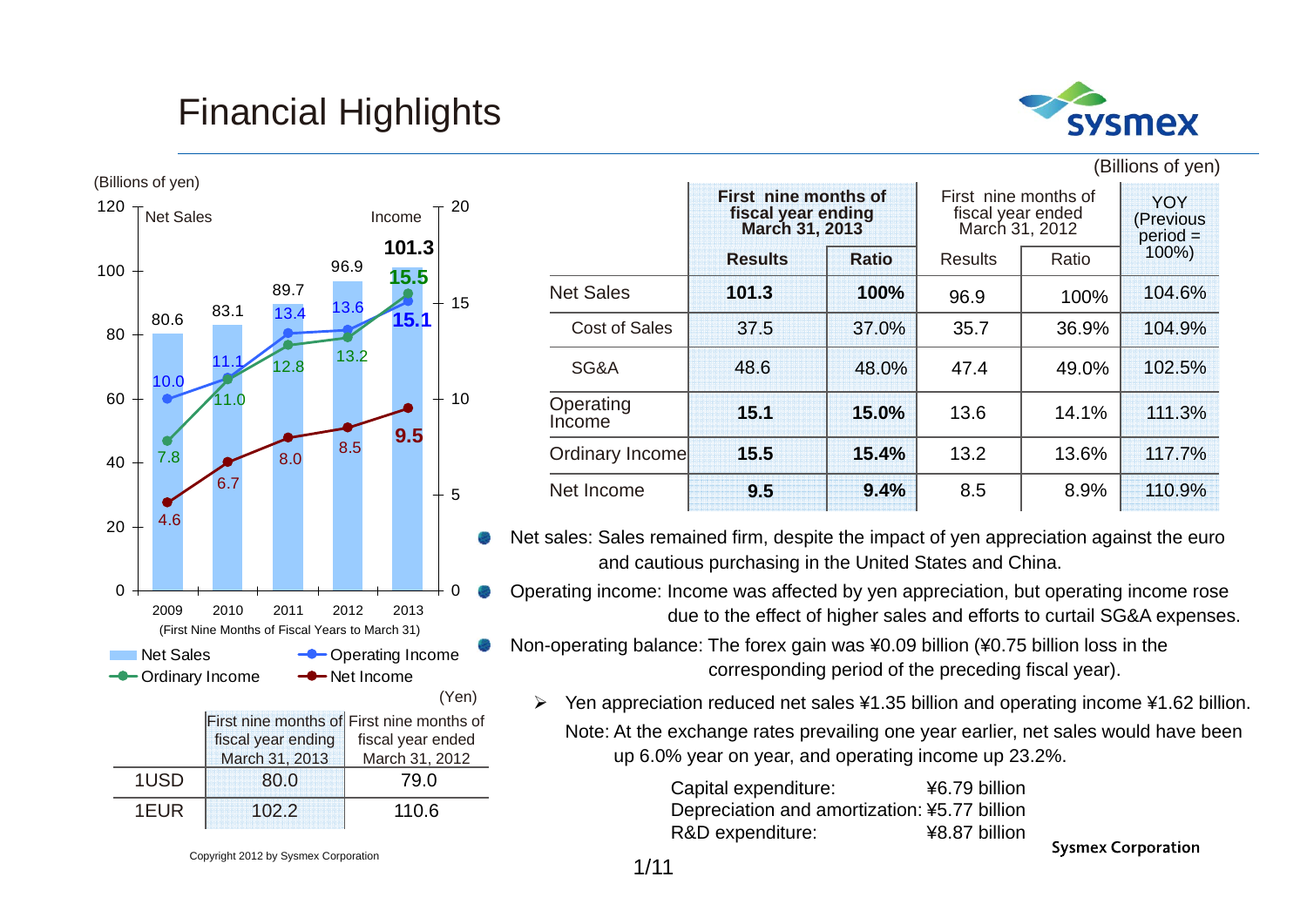### Financial Highlights



(Billions of yen)



|                      | First nine months of<br>fiscal year ending<br>March 31, 2013 |              | First nine months of<br>fiscal year ended<br>March 31, 2012 |       | <b>YOY</b><br>(Previous<br>$\text{period} =$ |
|----------------------|--------------------------------------------------------------|--------------|-------------------------------------------------------------|-------|----------------------------------------------|
|                      | <b>Results</b>                                               | <b>Ratio</b> | <b>Results</b>                                              | Ratio | 100%)                                        |
| <b>Net Sales</b>     | 101.3                                                        | 100%         | 96.9                                                        | 100%  | 104.6%                                       |
| <b>Cost of Sales</b> | 37.5                                                         | 37.0%        | 35.7                                                        | 36.9% | 104.9%                                       |
| SG&A                 | 48.6                                                         | 48.0%        | 47.4                                                        | 49.0% | 102.5%                                       |
| Operating<br>Income  | 15.1                                                         | 15.0%        | 13.6                                                        | 14.1% | 111.3%                                       |
| Ordinary Income      | 15.5                                                         | 15.4%        | 13.2                                                        | 13.6% | 117.7%                                       |
| Net Income           | 9.5                                                          | 9.4%         | 8.5                                                         | 8.9%  | 110.9%                                       |

Net sales: Sales remained firm, despite the impact of yen appreciation against the euro and cautious purchasing in the United States and China.

Operating income: Income was affected by yen appreciation, but operating income rose due to the effect of higher sales and efforts to curtail SG&A expenses.

Non-operating balance: The forex gain was ¥0.09 billion (¥0.75 billion loss in the corresponding period of the preceding fiscal year).

 $\blacktriangleright$  Yen appreciation reduced net sales ¥1.35 billion and operating income ¥1.62 billion. Note: At the exchange rates prevailing one year earlier, net sales would have been up 6.0% year on year, and operating income up 23.2%.

> Capital expenditure: ¥6.79 billion Depreciation and amortization: ¥5.77 billion R&D expenditure: ¥8.87 billion

**Sysmex Corporation** 

Copyright 2012 by Sysmex Corporation

110.6

1EUR 102.2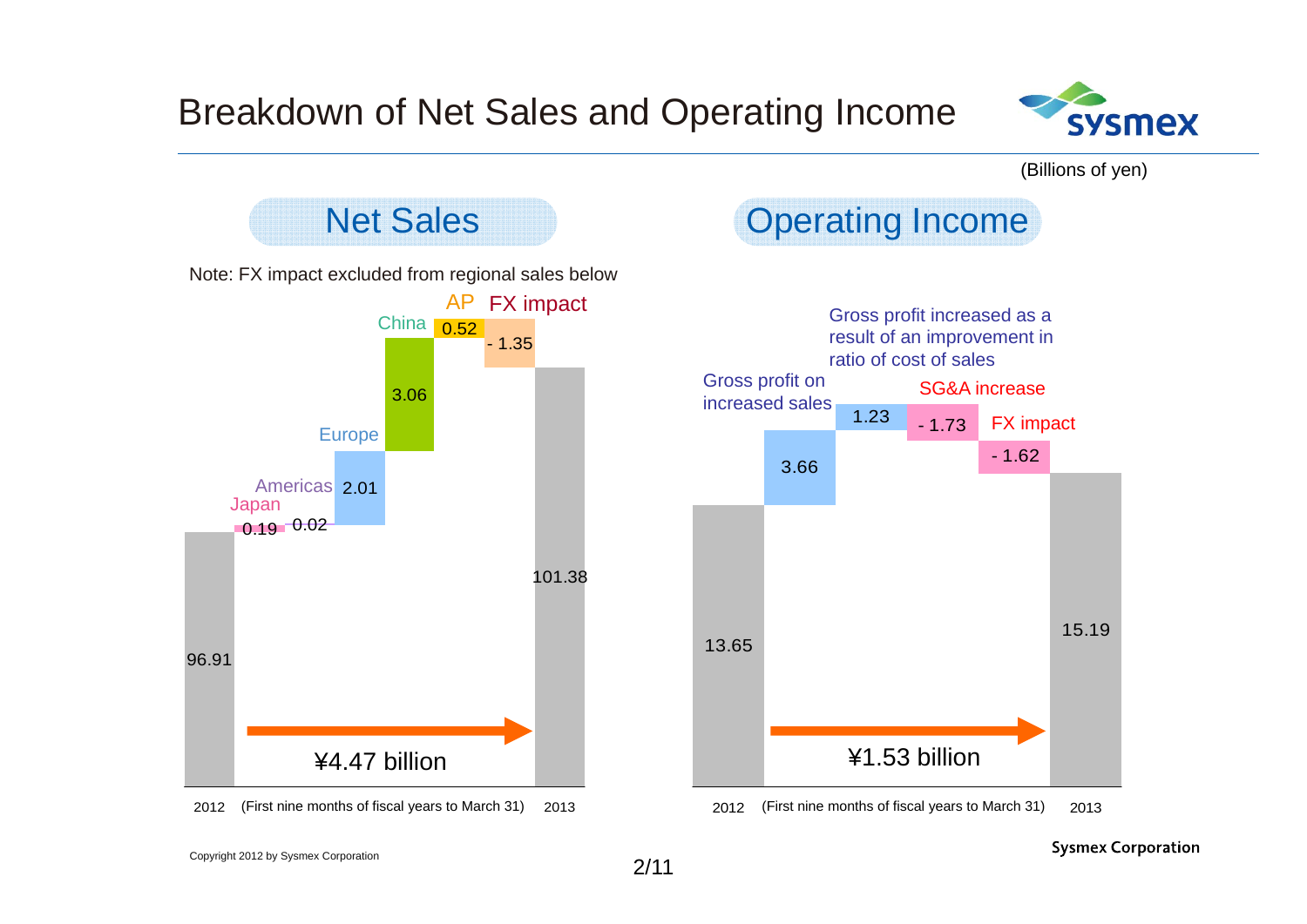

(Billions of yen)



**Sysmex Corporation**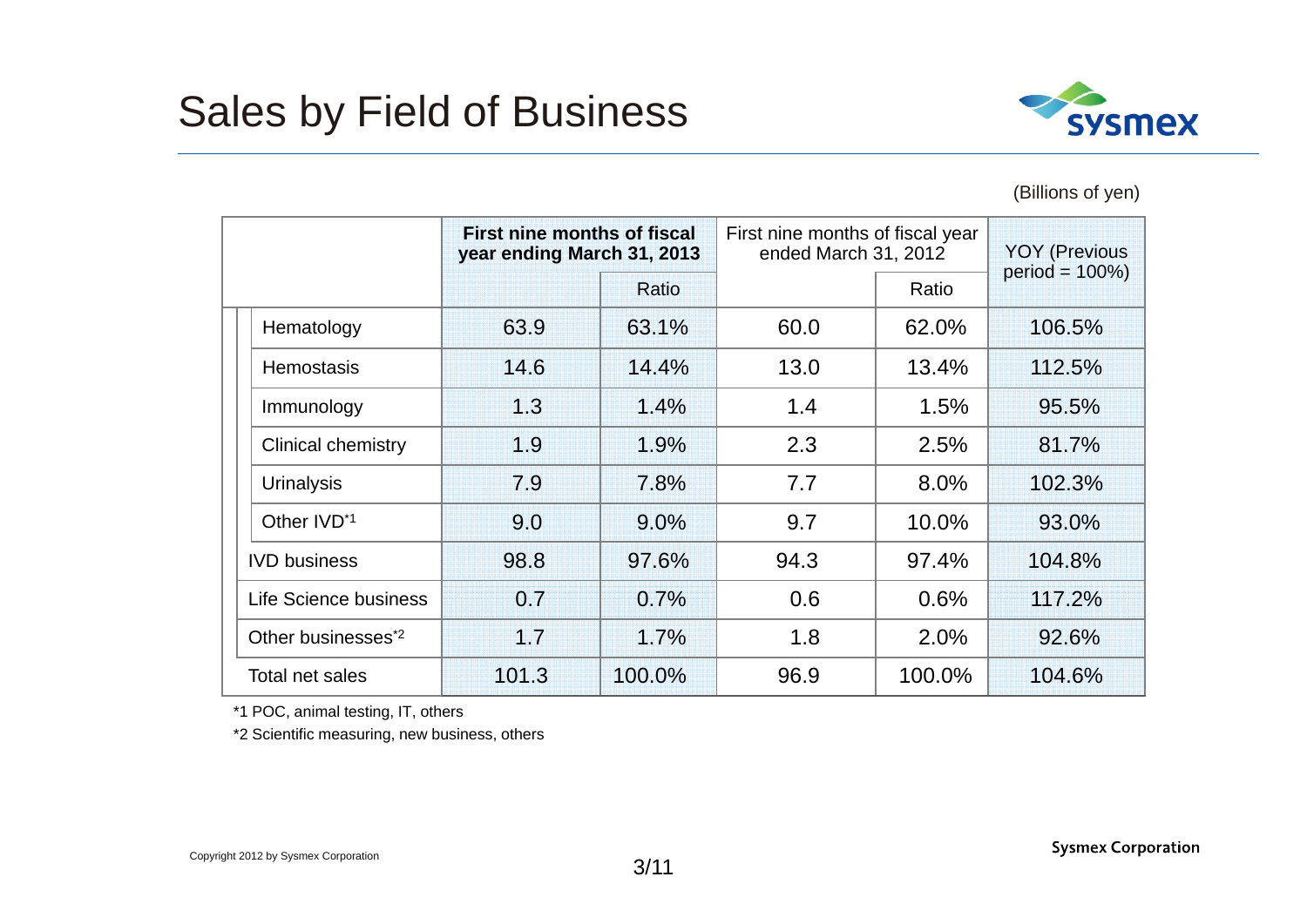

#### (Billions of yen)

|                 |                                | First nine months of fiscal<br>year ending March 31, 2013 |         | First nine months of fiscal year<br>ended March 31, 2012 |        | <b>YOY (Previous)</b> |
|-----------------|--------------------------------|-----------------------------------------------------------|---------|----------------------------------------------------------|--------|-----------------------|
|                 |                                |                                                           | Ratio   |                                                          | Ratio  | $period = 100\%)$     |
|                 | Hematology                     | 63.9                                                      | 63.1%   | 60.0                                                     | 62.0%  | 106.5%                |
|                 | <b>Hemostasis</b>              | 14.6                                                      | 14.4%   | 13.0                                                     | 13.4%  | 112.5%                |
|                 | Immunology                     | 1.3                                                       | 1.4%    | 1.4                                                      | 1.5%   | 95.5%                 |
|                 | <b>Clinical chemistry</b>      | 19                                                        | 1.9%    | 2.3                                                      | 2.5%   | 81.7%                 |
|                 | <b>Urinalysis</b>              | 7.9                                                       | 7.8%    | 7.7                                                      | 8.0%   | 102.3%                |
|                 | Other IVD <sup>*1</sup>        | 9.0                                                       | $9.0\%$ | 9.7                                                      | 10.0%  | 93.0%                 |
|                 | <b>IVD</b> business            | 98.8                                                      | 97.6%   | 94.3                                                     | 97.4%  | 104.8%                |
|                 | Life Science business          | 0.7                                                       | 0.7%    | 0.6                                                      | 0.6%   | 117.2%                |
|                 | Other businesses <sup>*2</sup> | 1.7                                                       | 1.7%    | 1.8                                                      | 2.0%   | 92.6%                 |
| Total net sales |                                | 101.3                                                     | 100.0%  | 96.9                                                     | 100.0% | 104.6%                |

\*1 POC, animal testing, IT, others

\*2 Scientific measuring, new business, others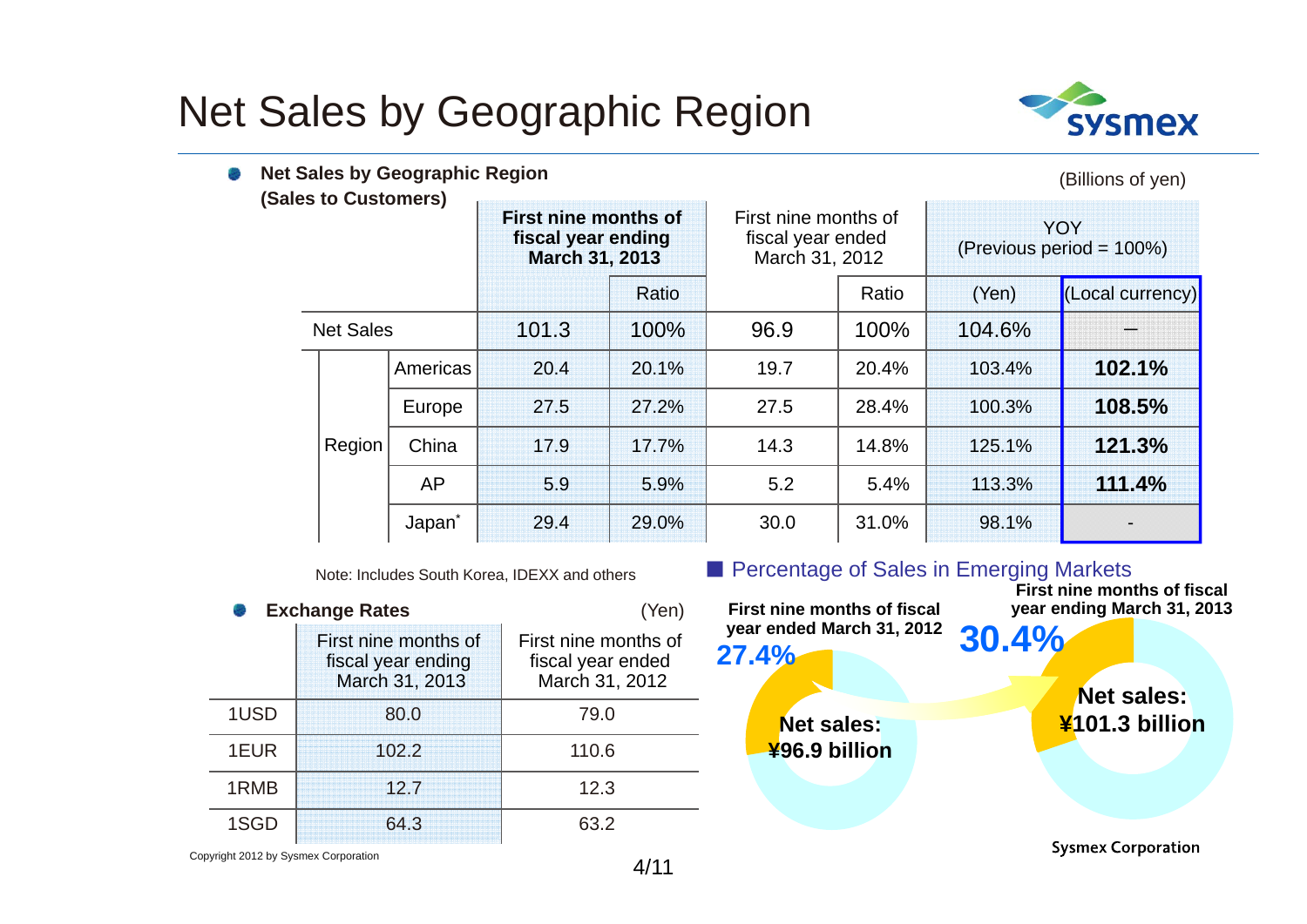## Net Sales by Geographic Region



| Net Sales by Geographic Region<br>(Sales to Customers) |                    |       |                                                              |      |                                                             |        | (Billions of yen)                      |  |
|--------------------------------------------------------|--------------------|-------|--------------------------------------------------------------|------|-------------------------------------------------------------|--------|----------------------------------------|--|
|                                                        |                    |       | First nine months of<br>fiscal year ending<br>March 31, 2013 |      | First nine months of<br>fiscal year ended<br>March 31, 2012 |        | <b>YOY</b><br>(Previous period = 100%) |  |
|                                                        |                    |       | Ratio                                                        |      | Ratio                                                       | (Yen)  | (Local currency)                       |  |
| <b>Net Sales</b>                                       |                    | 101.3 | 100%                                                         | 96.9 | 100%                                                        | 104.6% |                                        |  |
|                                                        | Americas           | 20.4  | 20.1%                                                        | 19.7 | 20.4%                                                       | 103.4% | 102.1%                                 |  |
|                                                        | Europe             | 27.5  | 27.2%                                                        | 27.5 | 28.4%                                                       | 100.3% | 108.5%                                 |  |
| Region                                                 | China              | 17.9  | 17.7%                                                        | 14.3 | 14.8%                                                       | 125.1% | 121.3%                                 |  |
|                                                        | AP                 | 5.9   | 5.9%                                                         | 5.2  | 5.4%                                                        | 113.3% | 111.4%                                 |  |
|                                                        | Japan <sup>*</sup> | 29.4  | 29.0%                                                        | 30.0 | 31.0%                                                       | 98.1%  |                                        |  |

Note: Includes South Korea, IDEXX and others

|      | <b>Exchange Rates</b>                                        | (Yen)                                                       |  |  |
|------|--------------------------------------------------------------|-------------------------------------------------------------|--|--|
|      | First nine months of<br>fiscal year ending<br>March 31, 2013 | First nine months of<br>fiscal year ended<br>March 31, 2012 |  |  |
| 1USD | 80.0                                                         | 79.0                                                        |  |  |
| 1EUR | 102.2                                                        | 110.6                                                       |  |  |
| 1RMB | 12.7                                                         | 12.3                                                        |  |  |
| 1SGD | 64.3                                                         | 63 2                                                        |  |  |

■ Percentage of Sales in Emerging Markets **First nine months of fiscal First nine months of fiscal year ending March 31, 2013year ended March 31, 2012 30.4% 27.4%Net sales:¥101.3 billionNet sales: ¥96.9 billion Sysmex Corporation** 

Copyright 2012 by Sysmex Corporation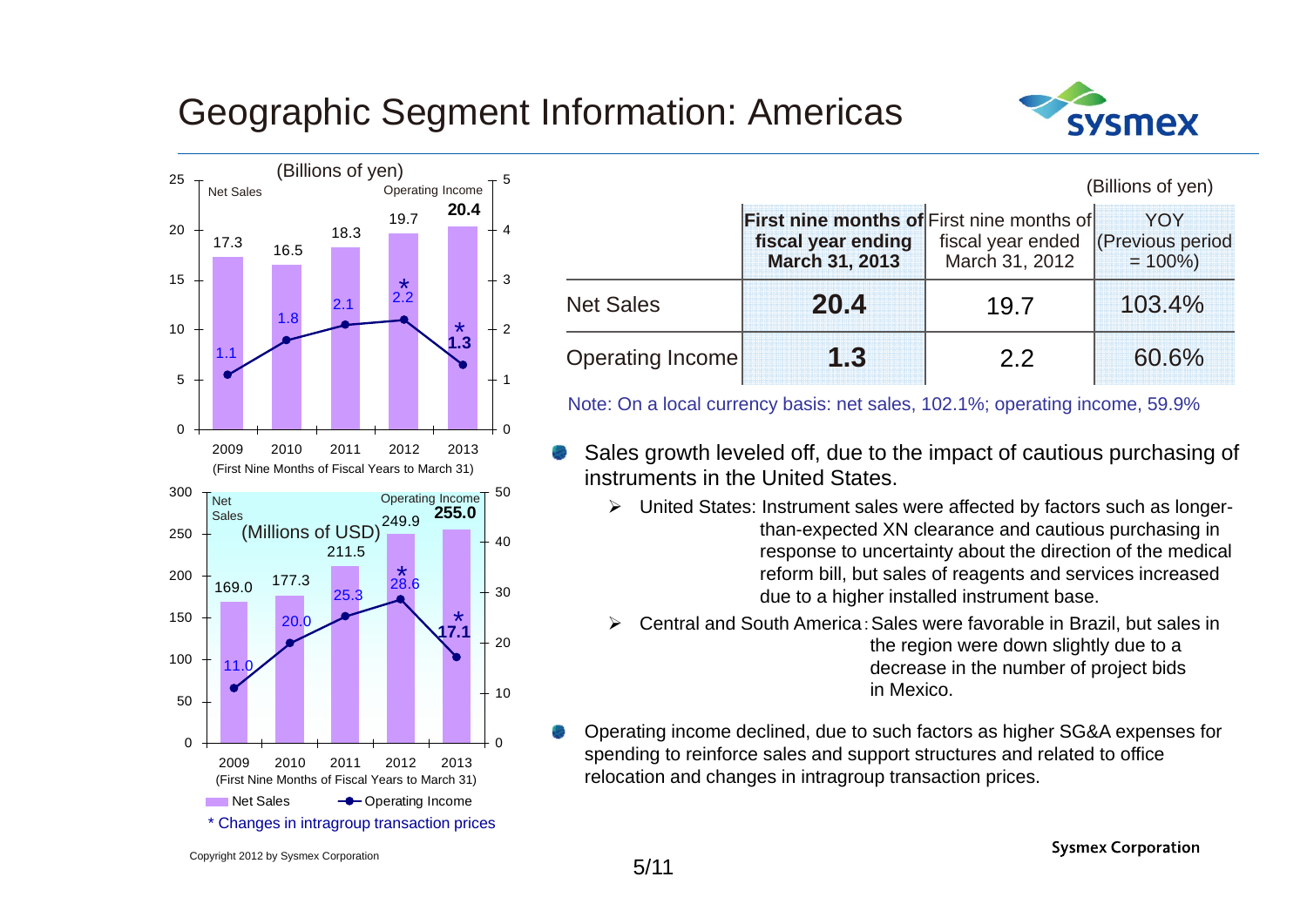#### Geographic Segment Information: Americas





|                  |                                                                                   |                                     | (Billions of yen)                     |  |
|------------------|-----------------------------------------------------------------------------------|-------------------------------------|---------------------------------------|--|
|                  | First nine months of First nine months of<br>fiscal year ending<br>March 31, 2013 | fiscal year ended<br>March 31, 2012 | YOY<br>(Previous period<br>$= 100\%)$ |  |
| <b>Net Sales</b> | 20.4                                                                              | 19.7                                | 103.4%                                |  |
| Operating Income | 1.3                                                                               | 22                                  | 60.6%                                 |  |

Note: On a local currency basis: net sales, 102.1%; operating income, 59.9%

- Sales growth leveled off, due to the impact of cautious purchasing of instruments in the United States.
	- United States: Instrument sales were affected by factors such as longerthan-expected XN clearance and cautious purchasing in response to uncertainty about the direction of the medical reform bill, but sales of reagents and services increased due to a higher installed instrument base.
	- ➤ Central and South America:Sales were favorable in Brazil, but sales in the region were down slightly due to a decrease in the number of project bids in Mexico.
	- Operating income declined, due to such factors as higher SG&A expenses for spending to reinforce sales and support structures and related to office relocation and changes in intragroup transaction prices.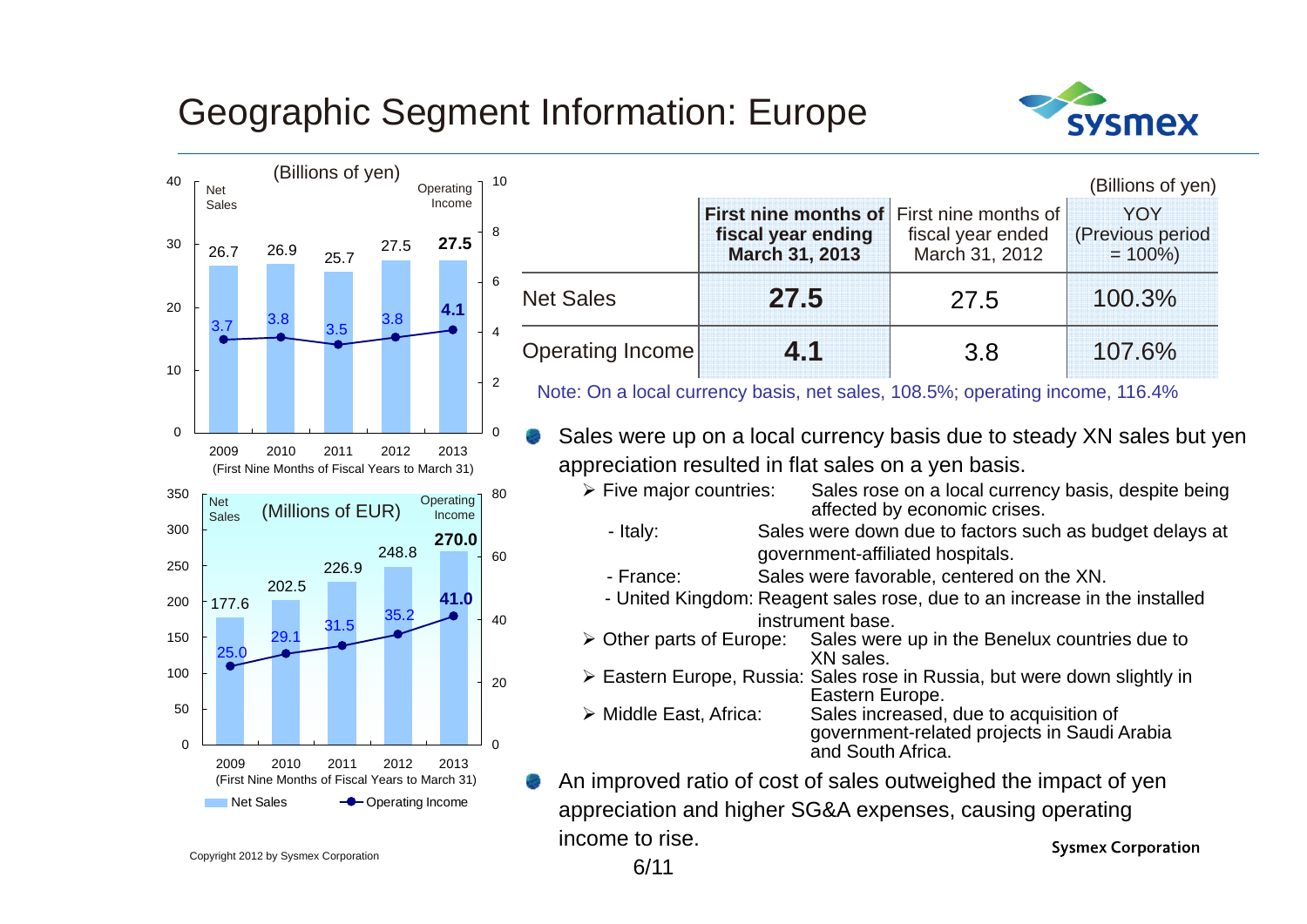### Geographic Segment Information: Europe





|                         |                                                              |                                                             | (Billions of yen)                    |
|-------------------------|--------------------------------------------------------------|-------------------------------------------------------------|--------------------------------------|
|                         | First nine months of<br>fiscal year ending<br>March 31, 2013 | First nine months of<br>fiscal year ended<br>March 31, 2012 | YOY<br>(Previous period<br>$= 100\%$ |
| <b>Net Sales</b>        | 27.5                                                         | 27.5                                                        | 100.3%                               |
| <b>Operating Income</b> |                                                              | 3.8                                                         | 107.6%                               |

Note: On a local currency basis, net sales, 108.5%; operating income, 116.4%

Sales were up on a local currency basis due to steady XN sales but yen appreciation resulted in flat sales on a yen basis.

- $\triangleright$  Five maior countries: Sales rose on a local currency basis, despite being affected by economic crises.
- Italy: Sales were down due to factors such as budget delays at government-affiliated hospitals.
- France: Sales were favorable, centered on the XN.
- United Kingdom: Reagent sales rose, due to an increase in the installed instrument base.
- > Other parts of Europe: Sales were up in the Benelux countries due to XN sales.
- Eastern Europe, Russia: Sales rose in Russia, but were down slightly in Eastern Europe.
- > Middle East. Africa: Sales increased, due to acquisition of government-related projects in Saudi Arabia and South Africa.
- An improved ratio of cost of sales outweighed the impact of yen appreciation and higher SG&A expenses, causing operating income to rise.**Sysmex Corporation**

Copyright 2012 by Sysmex Corporation 6/11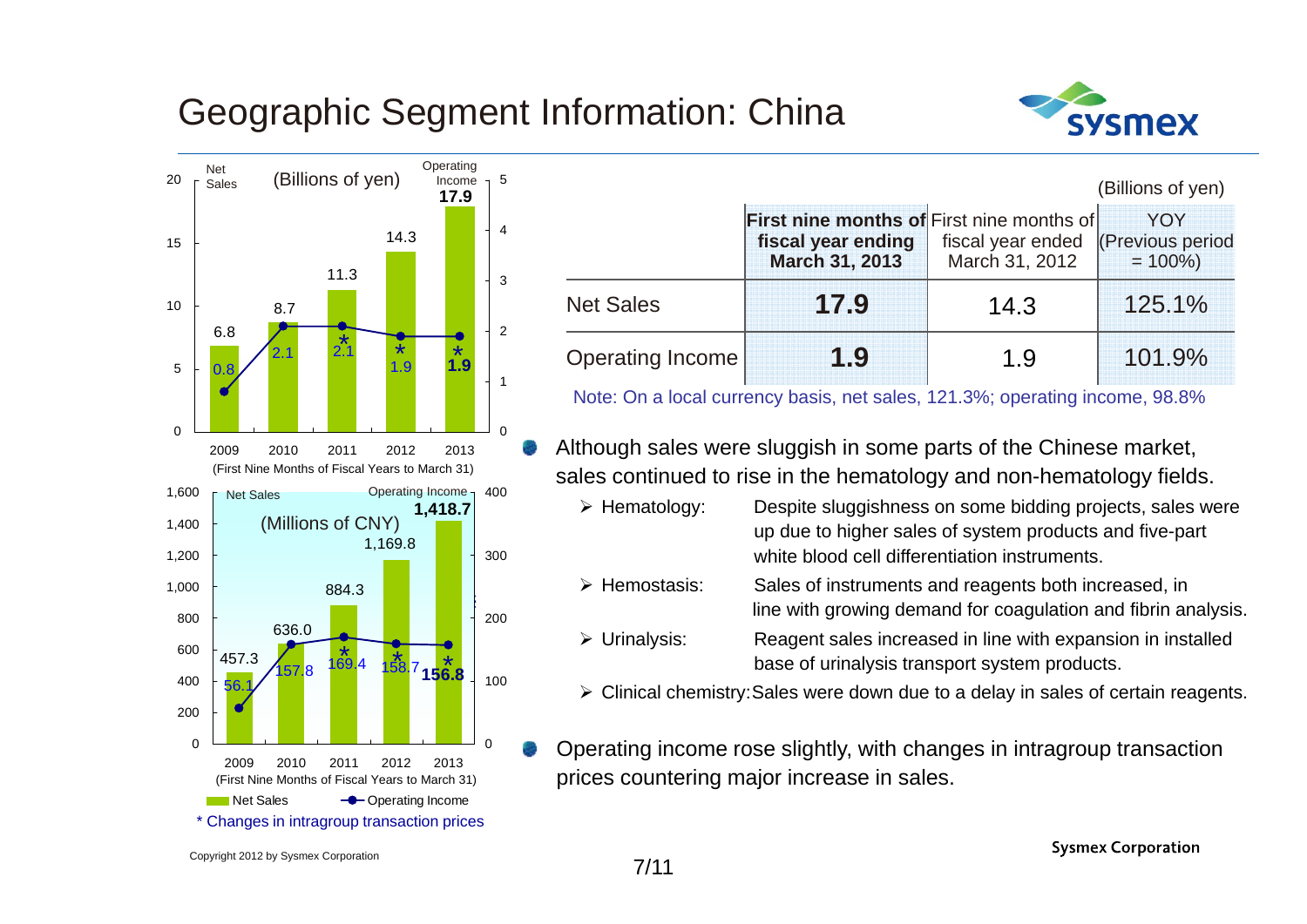#### Geographic Segment Information: China



|     | (Billions of yen) |      | Operating<br>Income<br>17.9 | -5 |                  |                                                                                                 |                                     | (Billions of yen)                     |
|-----|-------------------|------|-----------------------------|----|------------------|-------------------------------------------------------------------------------------------------|-------------------------------------|---------------------------------------|
|     | 11.3              | 14.3 |                             |    |                  | <b>First nine months of First nine months of</b><br>fiscal year ending<br><b>March 31, 2013</b> | fiscal year ended<br>March 31, 2012 | YOY<br>(Previous period<br>$= 100\%)$ |
| 8.7 |                   |      |                             |    | <b>Net Sales</b> | 17.9                                                                                            | 14.3                                | 125.1%                                |
| 2.1 |                   | 1.9  | 1.9                         |    | Operating Income | 1.9                                                                                             | 1.9                                 | 101.9%                                |

Note: On a local currency basis, net sales, 121.3%; operating income, 98.8%

- Although sales were sluggish in some parts of the Chinese market, sales continued to rise in the hematology and non-hematology fields.
	- $\triangleright$  Hematology: Despite sluggishness on some bidding projects, sales were up due to higher sales of system products and five-part white blood cell differentiation instruments.
	- $\triangleright$  Hemostasis: Sales of instruments and reagents both increased, in line with growing demand for coagulation and fibrin analysis.
	- $\triangleright$  Urinalysis: Reagent sales increased in line with expansion in installed base of urinalysis transport system products.
	- Clinical chemistry:Sales were down due to a delay in sales of certain reagents.
- Operating income rose slightly, with changes in intragroup transaction prices countering major increase in sales.

VSMAX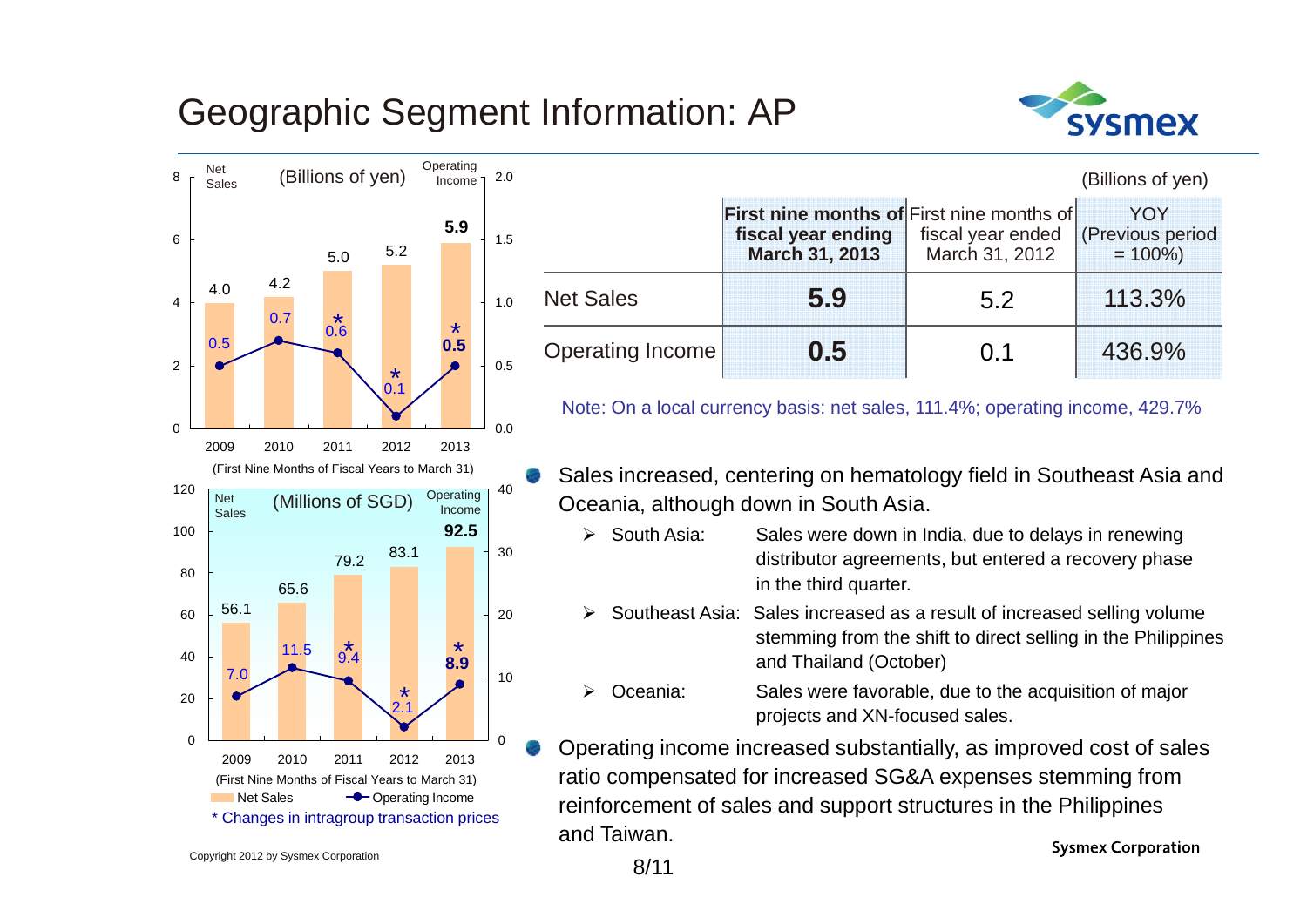#### Geographic Segment Information: AP





|                  |                                                                                          |                                     | (Billions of yen)                            |
|------------------|------------------------------------------------------------------------------------------|-------------------------------------|----------------------------------------------|
|                  | <b>First nine months of First nine months of</b><br>fiscal year ending<br>March 31, 2013 | fiscal year ended<br>March 31, 2012 | <b>YOY</b><br>(Previous period<br>$= 100\%)$ |
| <b>Net Sales</b> | 5.9                                                                                      | 5.2                                 | 113.3%                                       |
| Operating Income | 0.5                                                                                      | 0.1                                 | 436.9%                                       |

Note: On a local currency basis: net sales, 111.4%; operating income, 429.7%

- Sales increased, centering on hematology field in Southeast Asia and Oceania, although down in South Asia.
	- $\blacktriangleright$  South Asia: Sales were down in India, due to delays in renewing distributor agreements, but entered a recovery phase in the third quarter.
	- $\blacktriangleright$  Southeast Asia: Sales increased as a result of increased selling volume stemming from the shift to direct selling in the Philippines and Thailand (October)
	- $\blacktriangleright$  Oceania: Sales were favorable, due to the acquisition of major projects and XN-focused sales.

Operating income increased substantially, as improved cost of sales ratio compensated for increased SG&A expenses stemming from reinforcement of sales and support structures in the Philippines and Taiwan.**Sysmex Corporation** 

Copyright 2012 by Sysmex Corporation 8/11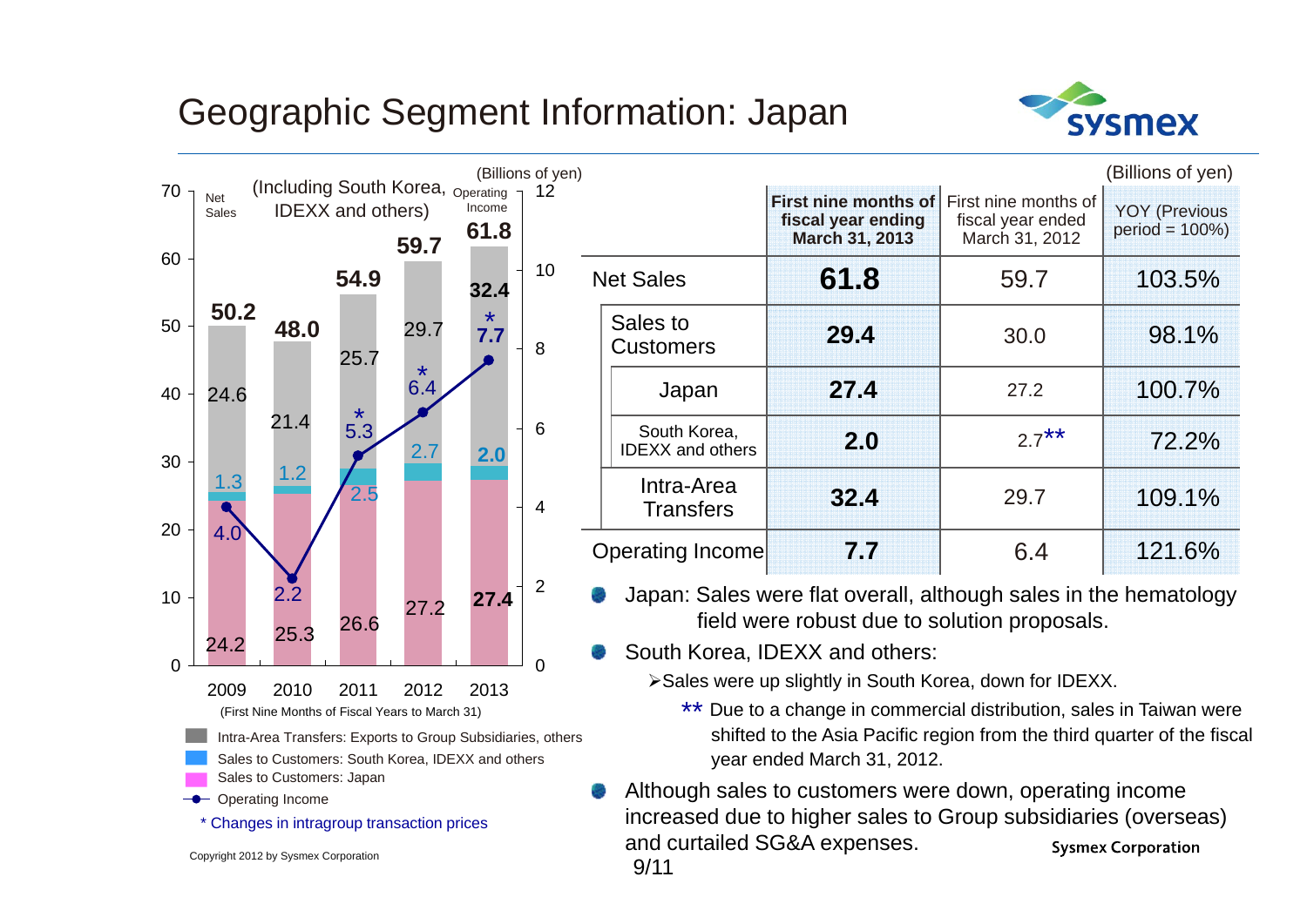### Geographic Segment Information: Japan



**Sysmex Corporation** 



Copyright 2012 by Sysmex Corporation

 $9/11$ 

and curtailed SG&A expenses.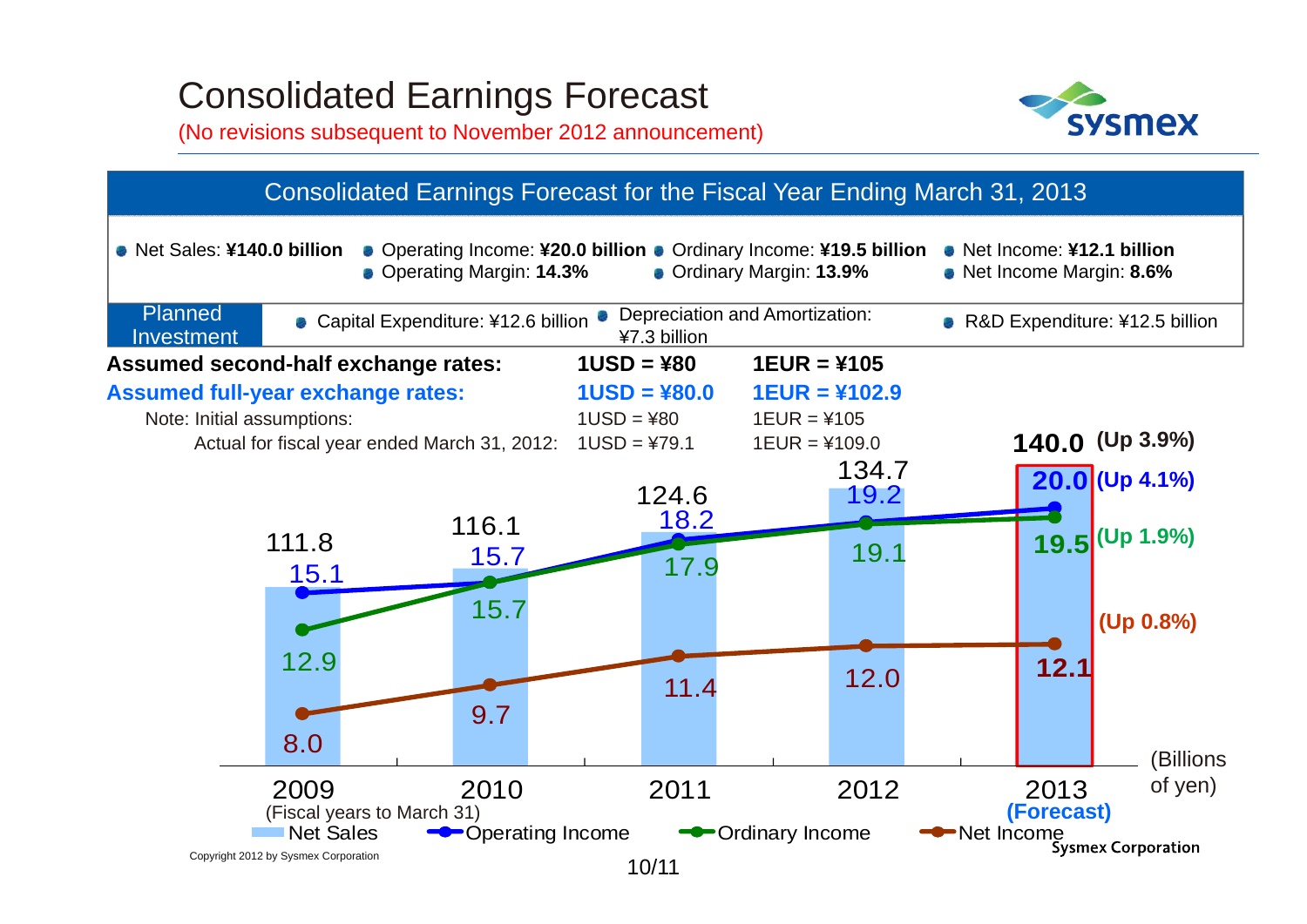#### Consolidated Earnings Forecast

(No revisions subsequent to November 2012 announcement)



#### Copyright 2012 by Sysmex Corporation 111.8  $116.1$ 124.6 134.7**140.0 (Up 3.9%)**  $\frac{15.7}{15.1}$ 18.2 19.2 **20.0 (Up 4.1%)** 12.9 15.7 17.9 19.1 **19.5**  8.0 9.7 1<sub>1.4</sub> 12.0 12.1 (Billions of yen) 250<br>250 Note: Initial assumptions:  $1USD = 480$  1EUR =  $4105$ 2009 2010 2011 2012 20132013 Net SalesOperating Income  $\leftarrow$  Ordinary Income  $\leftarrow$  Net Income Sysmex Corporation **(Up 1.9%) (Up 0.8%) (Forecast)** 10/11 **Assumed second-half exchange rates: 1USD = ¥80 1EUR = ¥105 Assumed full-year exchange rates: 1USD = ¥80.0 1EUR = ¥102.9** Actual for fiscal year ended March 31, 2012:  $1USD = 479.1$  1EUR =  $4109.0$ Net Sales: **¥140.0 billion**Consolidated Earnings Forecast for the Fiscal Year Ending March 31, 2013 Operating Income: **¥20.0 billion** Ordinary Income: **¥19.5 billion** Operating Margin: **14.3%** Net Income: **¥12.1 billion**Net Income Margin: **8.6%** Planned Investment■ Capital Expenditure: ¥12.6 billion Depreciation and Amortization: ■ R&D Expenditure: ¥12.5 billion Ordinary Margin: **13.9%** (Fiscal years to March 31)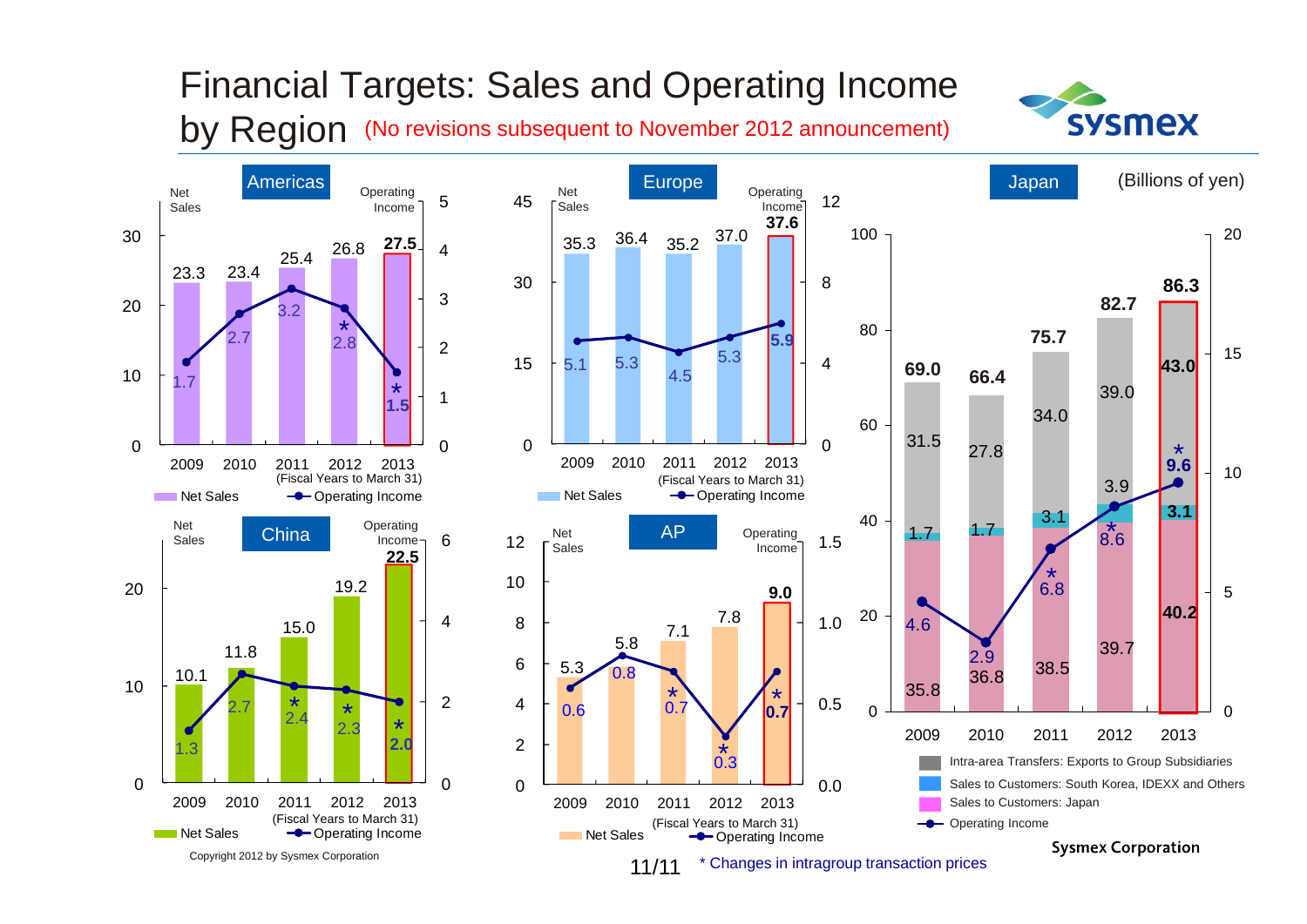

#### Financial Targets: Sales and Operating Income